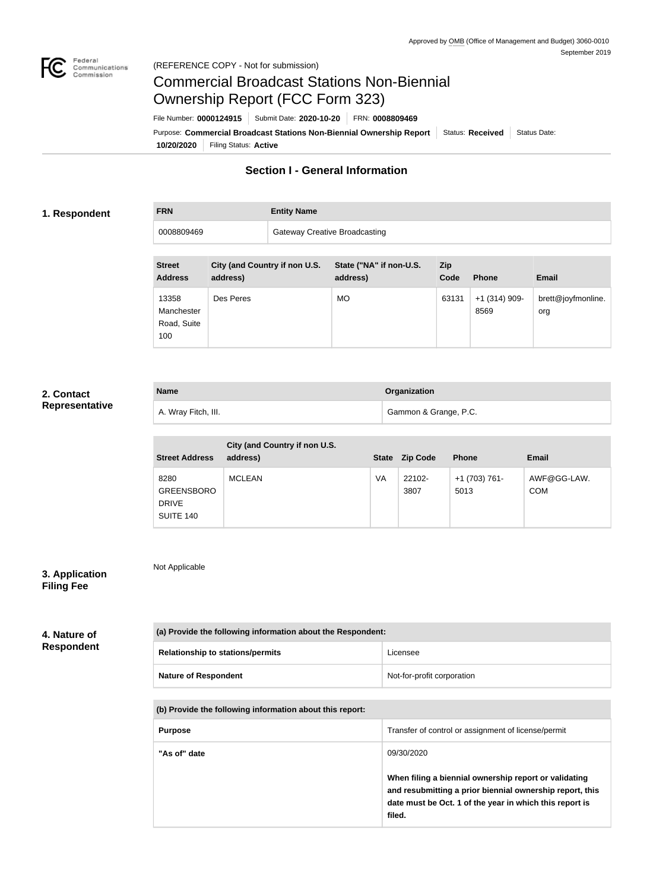

# Commercial Broadcast Stations Non-Biennial Ownership Report (FCC Form 323)

**10/20/2020** Filing Status: **Active** Purpose: Commercial Broadcast Stations Non-Biennial Ownership Report Status: Received Status Date: File Number: **0000124915** Submit Date: **2020-10-20** FRN: **0008809469**

## **Section I - General Information**

#### **1. Respondent**

**FRN Entity Name**

0008809469 Gateway Creative Broadcasting

| <b>Street</b>                                        | City (and Country if non U.S. | State ("NA" if non-U.S. | Zip           |                                         |                                           |
|------------------------------------------------------|-------------------------------|-------------------------|---------------|-----------------------------------------|-------------------------------------------|
| <b>Address</b><br>13358<br>Manchester<br>Road, Suite | address)<br>Des Peres         | address)<br><b>MO</b>   | Code<br>63131 | <b>Phone</b><br>$+1$ (314) 909-<br>8569 | <b>Email</b><br>brett@joyfmonline.<br>org |

### **2. Contact Representative**

| <b>Name</b>         | Organization          |
|---------------------|-----------------------|
| A. Wray Fitch, III. | Gammon & Grange, P.C. |

| <b>Street Address</b>                                  | City (and Country if non U.S.<br>address) | <b>State</b> | <b>Zip Code</b> | <b>Phone</b>          | <b>Email</b>              |
|--------------------------------------------------------|-------------------------------------------|--------------|-----------------|-----------------------|---------------------------|
| 8280<br><b>GREENSBORO</b><br><b>DRIVE</b><br>SUITE 140 | <b>MCLEAN</b>                             | VA           | 22102-<br>3807  | +1 (703) 761-<br>5013 | AWF@GG-LAW.<br><b>COM</b> |

# **3. Application**

Not Applicable

# **Filing Fee**

#### **4. Nature of Respondent**

| (a) Provide the following information about the Respondent: |                            |  |
|-------------------------------------------------------------|----------------------------|--|
| <b>Relationship to stations/permits</b>                     | Licensee                   |  |
| <b>Nature of Respondent</b>                                 | Not-for-profit corporation |  |

#### **(b) Provide the following information about this report:**

| <b>Purpose</b> | Transfer of control or assignment of license/permit                                                                                                                                    |
|----------------|----------------------------------------------------------------------------------------------------------------------------------------------------------------------------------------|
| "As of" date   | 09/30/2020                                                                                                                                                                             |
|                | When filing a biennial ownership report or validating<br>and resubmitting a prior biennial ownership report, this<br>date must be Oct. 1 of the year in which this report is<br>filed. |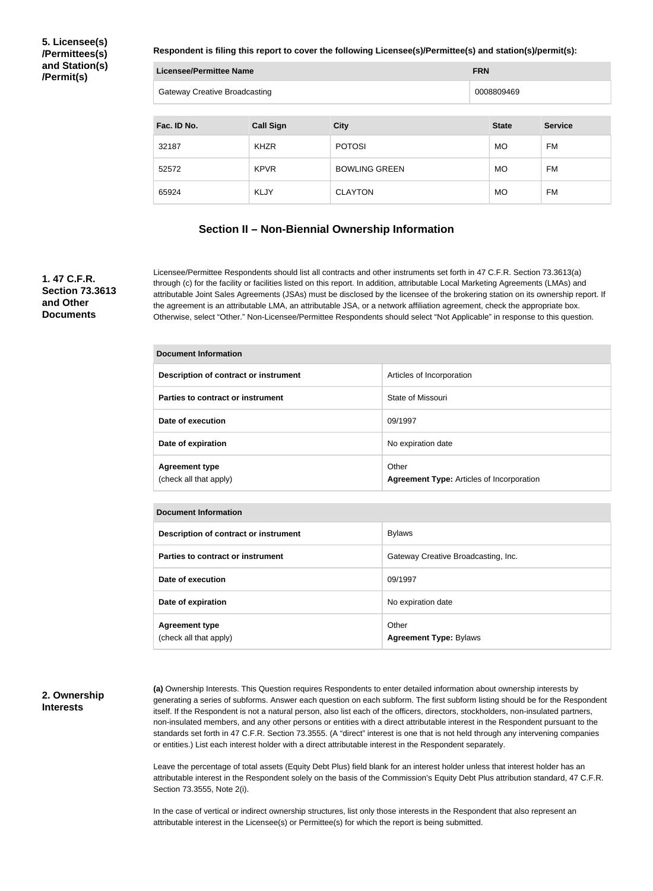**5. Licensee(s) /Permittees(s) and Station(s) /Permit(s)**

**Respondent is filing this report to cover the following Licensee(s)/Permittee(s) and station(s)/permit(s):**

| <b>Licensee/Permittee Name</b>       |                  |                      | <b>FRN</b>   |                |
|--------------------------------------|------------------|----------------------|--------------|----------------|
| <b>Gateway Creative Broadcasting</b> |                  |                      | 0008809469   |                |
|                                      |                  |                      |              |                |
| Fac. ID No.                          | <b>Call Sign</b> | <b>City</b>          | <b>State</b> | <b>Service</b> |
| 32187                                | <b>KHZR</b>      | <b>POTOSI</b>        | <b>MO</b>    | <b>FM</b>      |
| 52572                                | <b>KPVR</b>      | <b>BOWLING GREEN</b> | <b>MO</b>    | <b>FM</b>      |
| 65924                                | <b>KLJY</b>      | <b>CLAYTON</b>       | <b>MO</b>    | FM             |

#### **Section II – Non-Biennial Ownership Information**

#### **1. 47 C.F.R. Section 73.3613 and Other Documents**

Licensee/Permittee Respondents should list all contracts and other instruments set forth in 47 C.F.R. Section 73.3613(a) through (c) for the facility or facilities listed on this report. In addition, attributable Local Marketing Agreements (LMAs) and attributable Joint Sales Agreements (JSAs) must be disclosed by the licensee of the brokering station on its ownership report. If the agreement is an attributable LMA, an attributable JSA, or a network affiliation agreement, check the appropriate box. Otherwise, select "Other." Non-Licensee/Permittee Respondents should select "Not Applicable" in response to this question.

| Document Information                            |                                                           |  |  |
|-------------------------------------------------|-----------------------------------------------------------|--|--|
| Description of contract or instrument           | Articles of Incorporation                                 |  |  |
| Parties to contract or instrument               | State of Missouri                                         |  |  |
| Date of execution                               | 09/1997                                                   |  |  |
| Date of expiration                              | No expiration date                                        |  |  |
| <b>Agreement type</b><br>(check all that apply) | Other<br><b>Agreement Type: Articles of Incorporation</b> |  |  |

| <b>Document Information</b>                     |                                        |  |
|-------------------------------------------------|----------------------------------------|--|
| Description of contract or instrument           | <b>Bylaws</b>                          |  |
| Parties to contract or instrument               | Gateway Creative Broadcasting, Inc.    |  |
| Date of execution                               | 09/1997                                |  |
| Date of expiration                              | No expiration date                     |  |
| <b>Agreement type</b><br>(check all that apply) | Other<br><b>Agreement Type: Bylaws</b> |  |

#### **2. Ownership Interests**

**(a)** Ownership Interests. This Question requires Respondents to enter detailed information about ownership interests by generating a series of subforms. Answer each question on each subform. The first subform listing should be for the Respondent itself. If the Respondent is not a natural person, also list each of the officers, directors, stockholders, non-insulated partners, non-insulated members, and any other persons or entities with a direct attributable interest in the Respondent pursuant to the standards set forth in 47 C.F.R. Section 73.3555. (A "direct" interest is one that is not held through any intervening companies or entities.) List each interest holder with a direct attributable interest in the Respondent separately.

Leave the percentage of total assets (Equity Debt Plus) field blank for an interest holder unless that interest holder has an attributable interest in the Respondent solely on the basis of the Commission's Equity Debt Plus attribution standard, 47 C.F.R. Section 73.3555, Note 2(i).

In the case of vertical or indirect ownership structures, list only those interests in the Respondent that also represent an attributable interest in the Licensee(s) or Permittee(s) for which the report is being submitted.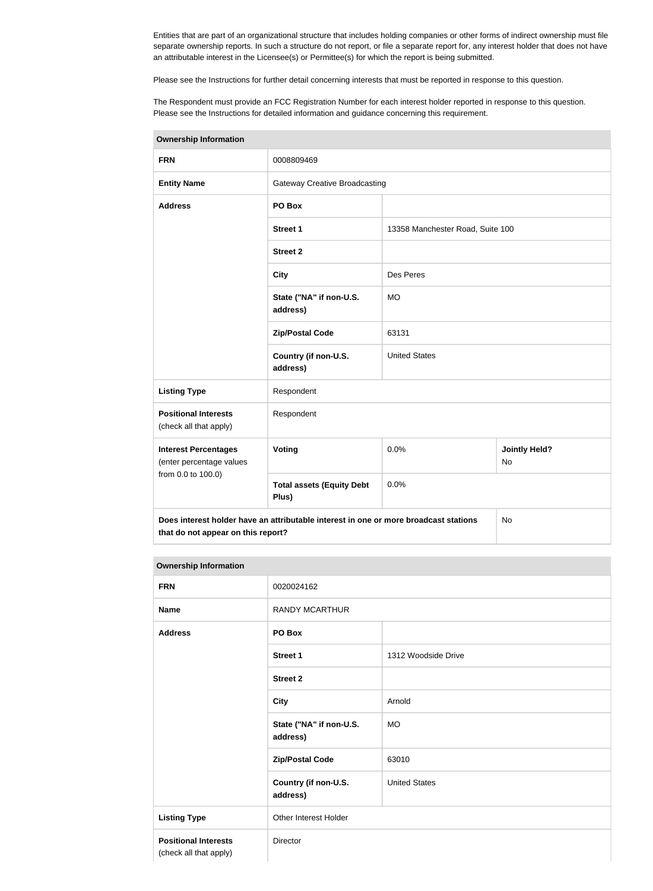Entities that are part of an organizational structure that includes holding companies or other forms of indirect ownership must file separate ownership reports. In such a structure do not report, or file a separate report for, any interest holder that does not have an attributable interest in the Licensee(s) or Permittee(s) for which the report is being submitted.

Please see the Instructions for further detail concerning interests that must be reported in response to this question.

The Respondent must provide an FCC Registration Number for each interest holder reported in response to this question. Please see the Instructions for detailed information and guidance concerning this requirement.

| <b>Ownership Information</b>                                                                                                            |                                           |                                  |                                   |  |
|-----------------------------------------------------------------------------------------------------------------------------------------|-------------------------------------------|----------------------------------|-----------------------------------|--|
| <b>FRN</b>                                                                                                                              | 0008809469                                |                                  |                                   |  |
| <b>Entity Name</b>                                                                                                                      | <b>Gateway Creative Broadcasting</b>      |                                  |                                   |  |
| <b>Address</b>                                                                                                                          | PO Box                                    |                                  |                                   |  |
|                                                                                                                                         | <b>Street 1</b>                           | 13358 Manchester Road, Suite 100 |                                   |  |
|                                                                                                                                         | <b>Street 2</b>                           |                                  |                                   |  |
|                                                                                                                                         | <b>City</b>                               | Des Peres                        |                                   |  |
|                                                                                                                                         | State ("NA" if non-U.S.<br>address)       | <b>MO</b>                        |                                   |  |
|                                                                                                                                         | <b>Zip/Postal Code</b>                    | 63131                            |                                   |  |
|                                                                                                                                         | Country (if non-U.S.<br>address)          | <b>United States</b>             |                                   |  |
| <b>Listing Type</b>                                                                                                                     | Respondent                                |                                  |                                   |  |
| <b>Positional Interests</b><br>(check all that apply)                                                                                   | Respondent                                |                                  |                                   |  |
| <b>Interest Percentages</b><br>(enter percentage values                                                                                 | Voting                                    | 0.0%                             | <b>Jointly Held?</b><br><b>No</b> |  |
| from 0.0 to 100.0)                                                                                                                      | <b>Total assets (Equity Debt</b><br>Plus) | 0.0%                             |                                   |  |
| Does interest holder have an attributable interest in one or more broadcast stations<br><b>No</b><br>that do not appear on this report? |                                           |                                  |                                   |  |

| <b>Ownership Information</b>                          |                                     |                      |  |
|-------------------------------------------------------|-------------------------------------|----------------------|--|
| <b>FRN</b>                                            | 0020024162                          |                      |  |
| <b>Name</b>                                           | <b>RANDY MCARTHUR</b>               |                      |  |
| <b>Address</b>                                        | PO Box                              |                      |  |
|                                                       | <b>Street 1</b>                     | 1312 Woodside Drive  |  |
|                                                       | <b>Street 2</b>                     |                      |  |
|                                                       | <b>City</b>                         | Arnold               |  |
|                                                       | State ("NA" if non-U.S.<br>address) | <b>MO</b>            |  |
|                                                       | <b>Zip/Postal Code</b>              | 63010                |  |
|                                                       | Country (if non-U.S.<br>address)    | <b>United States</b> |  |
| <b>Listing Type</b>                                   | Other Interest Holder               |                      |  |
| <b>Positional Interests</b><br>(check all that apply) | Director                            |                      |  |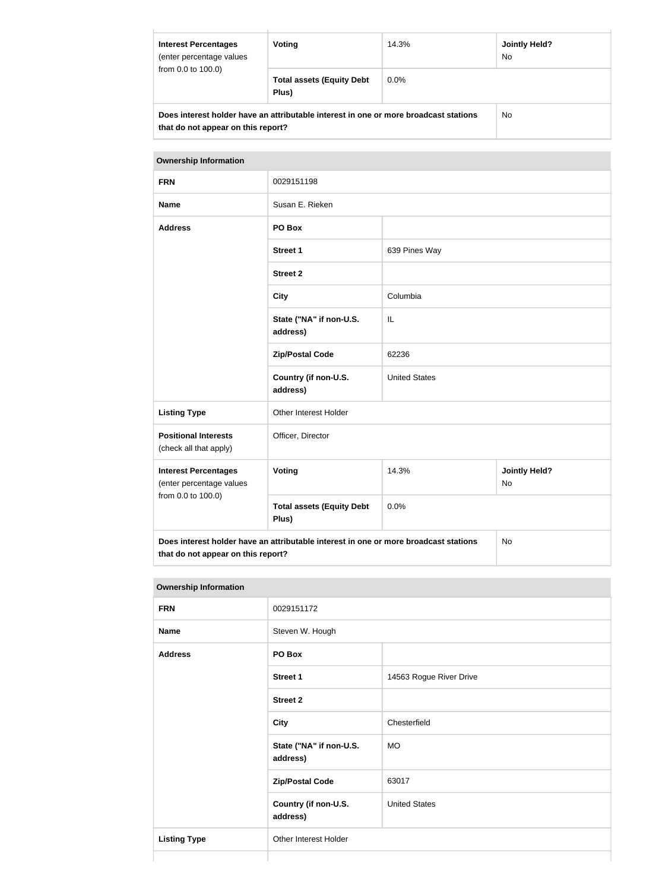| <b>Interest Percentages</b><br>(enter percentage values<br>from 0.0 to 100.0)                                              | Voting                                    | 14.3%   | <b>Jointly Held?</b><br>N <sub>o</sub> |
|----------------------------------------------------------------------------------------------------------------------------|-------------------------------------------|---------|----------------------------------------|
|                                                                                                                            | <b>Total assets (Equity Debt</b><br>Plus) | $0.0\%$ |                                        |
| Does interest holder have an attributable interest in one or more broadcast stations<br>that do not appear on this report? | No.                                       |         |                                        |

| <b>Ownership Information</b>                                                                                                            |                                           |                      |                                   |  |
|-----------------------------------------------------------------------------------------------------------------------------------------|-------------------------------------------|----------------------|-----------------------------------|--|
| <b>FRN</b>                                                                                                                              | 0029151198                                |                      |                                   |  |
| <b>Name</b>                                                                                                                             | Susan E. Rieken                           |                      |                                   |  |
| <b>Address</b>                                                                                                                          | PO Box                                    |                      |                                   |  |
|                                                                                                                                         | <b>Street 1</b>                           | 639 Pines Way        |                                   |  |
|                                                                                                                                         | <b>Street 2</b>                           |                      |                                   |  |
|                                                                                                                                         | <b>City</b>                               | Columbia             |                                   |  |
|                                                                                                                                         | State ("NA" if non-U.S.<br>address)       | IL                   |                                   |  |
|                                                                                                                                         | <b>Zip/Postal Code</b>                    | 62236                |                                   |  |
|                                                                                                                                         | Country (if non-U.S.<br>address)          | <b>United States</b> |                                   |  |
| <b>Listing Type</b>                                                                                                                     | Other Interest Holder                     |                      |                                   |  |
| <b>Positional Interests</b><br>(check all that apply)                                                                                   | Officer, Director                         |                      |                                   |  |
| <b>Interest Percentages</b><br>(enter percentage values                                                                                 | <b>Voting</b>                             | 14.3%                | <b>Jointly Held?</b><br><b>No</b> |  |
| from 0.0 to 100.0)                                                                                                                      | <b>Total assets (Equity Debt</b><br>Plus) | 0.0%                 |                                   |  |
| Does interest holder have an attributable interest in one or more broadcast stations<br><b>No</b><br>that do not appear on this report? |                                           |                      |                                   |  |

#### **Ownership Information**

|                     | the contract of the contract of the contract of the contract of the contract of the contract of the contract of |                         |  |
|---------------------|-----------------------------------------------------------------------------------------------------------------|-------------------------|--|
| <b>FRN</b>          | 0029151172                                                                                                      |                         |  |
| <b>Name</b>         | Steven W. Hough                                                                                                 |                         |  |
| <b>Address</b>      | PO Box                                                                                                          |                         |  |
|                     | Street 1                                                                                                        | 14563 Rogue River Drive |  |
|                     | Street 2                                                                                                        |                         |  |
|                     | <b>City</b>                                                                                                     | Chesterfield            |  |
|                     | State ("NA" if non-U.S.<br>address)                                                                             | <b>MO</b>               |  |
|                     | <b>Zip/Postal Code</b>                                                                                          | 63017                   |  |
|                     | Country (if non-U.S.<br>address)                                                                                | <b>United States</b>    |  |
| <b>Listing Type</b> | Other Interest Holder                                                                                           |                         |  |
|                     |                                                                                                                 |                         |  |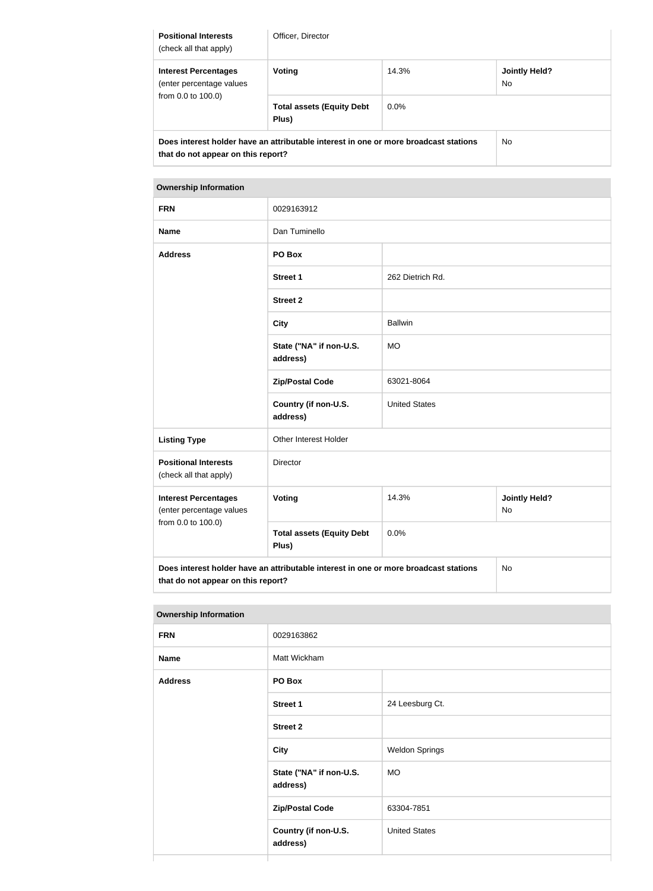| <b>Positional Interests</b><br>(check all that apply)                                                                      | Officer, Director                         |         |                                   |
|----------------------------------------------------------------------------------------------------------------------------|-------------------------------------------|---------|-----------------------------------|
| <b>Interest Percentages</b><br>(enter percentage values<br>from 0.0 to 100.0)                                              | Voting                                    | 14.3%   | <b>Jointly Held?</b><br><b>No</b> |
|                                                                                                                            | <b>Total assets (Equity Debt</b><br>Plus) | $0.0\%$ |                                   |
| Does interest holder have an attributable interest in one or more broadcast stations<br>that do not appear on this report? |                                           |         | <b>No</b>                         |

#### **Ownership Information**

| <b>FRN</b>                                                                                                                              | 0029163912                                |                      |                                   |
|-----------------------------------------------------------------------------------------------------------------------------------------|-------------------------------------------|----------------------|-----------------------------------|
| <b>Name</b>                                                                                                                             | Dan Tuminello                             |                      |                                   |
| <b>Address</b>                                                                                                                          | PO Box                                    |                      |                                   |
|                                                                                                                                         | <b>Street 1</b>                           | 262 Dietrich Rd.     |                                   |
|                                                                                                                                         | <b>Street 2</b>                           |                      |                                   |
|                                                                                                                                         | <b>City</b>                               | <b>Ballwin</b>       |                                   |
|                                                                                                                                         | State ("NA" if non-U.S.<br>address)       | <b>MO</b>            |                                   |
|                                                                                                                                         | <b>Zip/Postal Code</b>                    | 63021-8064           |                                   |
|                                                                                                                                         | Country (if non-U.S.<br>address)          | <b>United States</b> |                                   |
| <b>Listing Type</b>                                                                                                                     | Other Interest Holder                     |                      |                                   |
| <b>Positional Interests</b><br>(check all that apply)                                                                                   | Director                                  |                      |                                   |
| <b>Interest Percentages</b><br>(enter percentage values                                                                                 | <b>Voting</b>                             | 14.3%                | <b>Jointly Held?</b><br><b>No</b> |
| from 0.0 to 100.0)                                                                                                                      | <b>Total assets (Equity Debt</b><br>Plus) | 0.0%                 |                                   |
| Does interest holder have an attributable interest in one or more broadcast stations<br><b>No</b><br>that do not appear on this report? |                                           |                      |                                   |

| <b>Ownership Information</b> |                                     |                       |  |
|------------------------------|-------------------------------------|-----------------------|--|
| <b>FRN</b>                   | 0029163862                          |                       |  |
| <b>Name</b>                  | Matt Wickham                        |                       |  |
| <b>Address</b>               | PO Box                              |                       |  |
|                              | <b>Street 1</b>                     | 24 Leesburg Ct.       |  |
|                              | <b>Street 2</b>                     |                       |  |
|                              | <b>City</b>                         | <b>Weldon Springs</b> |  |
|                              | State ("NA" if non-U.S.<br>address) | <b>MO</b>             |  |
|                              | <b>Zip/Postal Code</b>              | 63304-7851            |  |
|                              | Country (if non-U.S.<br>address)    | <b>United States</b>  |  |
|                              |                                     |                       |  |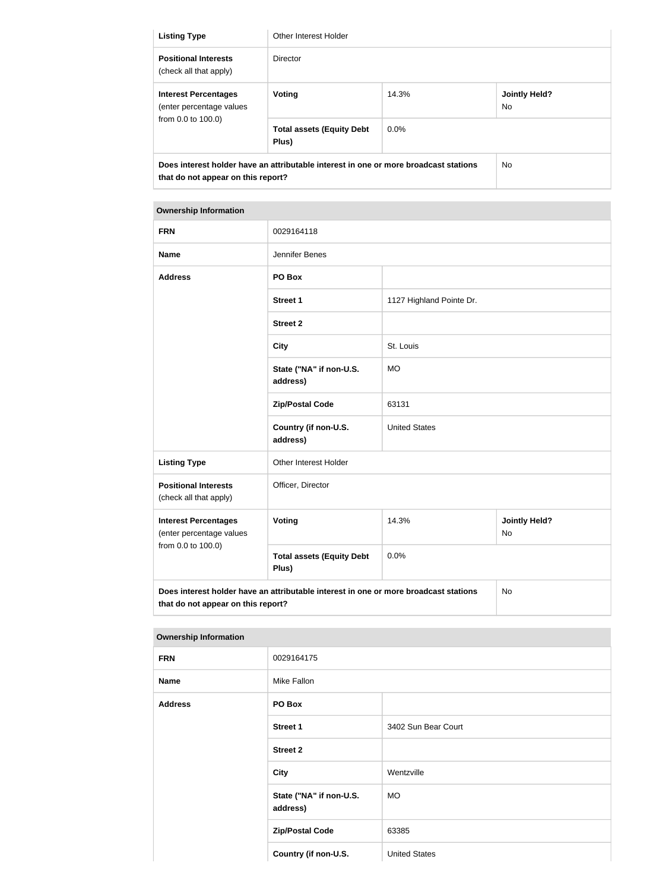| <b>Listing Type</b>                                                                                                                          | Other Interest Holder                     |         |                                        |
|----------------------------------------------------------------------------------------------------------------------------------------------|-------------------------------------------|---------|----------------------------------------|
| <b>Positional Interests</b><br>(check all that apply)                                                                                        | Director                                  |         |                                        |
| <b>Interest Percentages</b><br>(enter percentage values<br>from $0.0$ to $100.0$ )                                                           | Voting                                    | 14.3%   | <b>Jointly Held?</b><br>N <sub>o</sub> |
|                                                                                                                                              | <b>Total assets (Equity Debt</b><br>Plus) | $0.0\%$ |                                        |
| Does interest holder have an attributable interest in one or more broadcast stations<br>N <sub>o</sub><br>that do not appear on this report? |                                           |         |                                        |

## **Ownership Information FRN** 0029164118 **Name** Jennifer Benes **Address PO Box Street 1** 1127 Highland Pointe Dr. **Street 2 City** St. Louis **State ("NA" if non-U.S. address)** MO **Zip/Postal Code** 63131 **Country (if non-U.S. address)** United States **Listing Type Other Interest Holder Positional Interests** (check all that apply) Officer, Director **Interest Percentages** (enter percentage values from 0.0 to 100.0) **Voting** 14.3% **Jointly Held?** No

0.0%

No

**Does interest holder have an attributable interest in one or more broadcast stations that do not appear on this report?**

**Total assets (Equity Debt** 

**Plus)**

| <b>Ownership Information</b> |                                     |                      |
|------------------------------|-------------------------------------|----------------------|
| <b>FRN</b>                   | 0029164175                          |                      |
| <b>Name</b>                  | Mike Fallon                         |                      |
| <b>Address</b>               | PO Box                              |                      |
|                              | <b>Street 1</b>                     | 3402 Sun Bear Court  |
|                              | <b>Street 2</b>                     |                      |
|                              | <b>City</b>                         | Wentzville           |
|                              | State ("NA" if non-U.S.<br>address) | <b>MO</b>            |
|                              | <b>Zip/Postal Code</b>              | 63385                |
|                              | Country (if non-U.S.                | <b>United States</b> |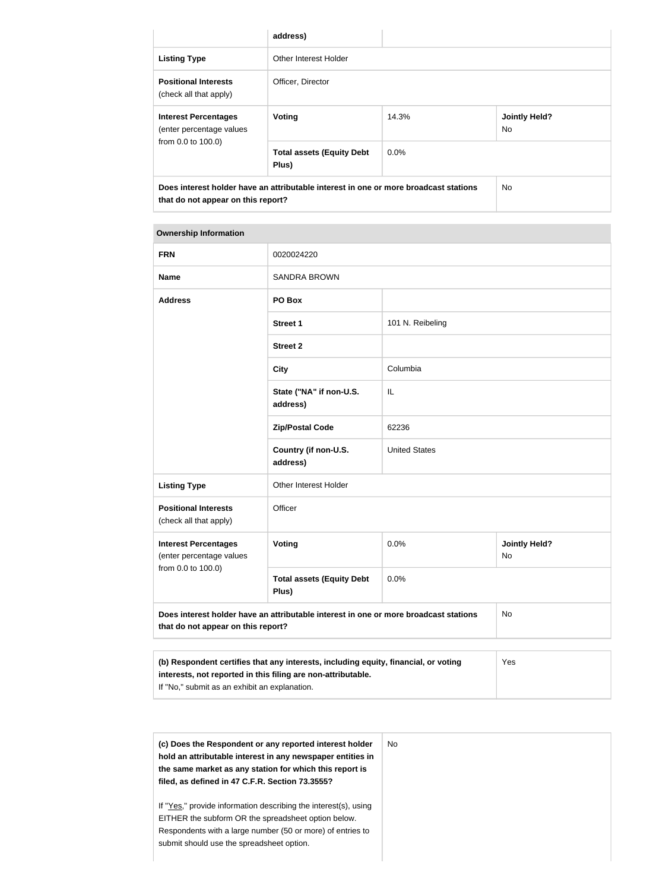|                                                                                                                                   | address)                                  |         |                            |
|-----------------------------------------------------------------------------------------------------------------------------------|-------------------------------------------|---------|----------------------------|
| <b>Listing Type</b>                                                                                                               | Other Interest Holder                     |         |                            |
| <b>Positional Interests</b><br>(check all that apply)                                                                             | Officer, Director                         |         |                            |
| <b>Interest Percentages</b><br>(enter percentage values<br>from 0.0 to 100.0)                                                     | Voting                                    | 14.3%   | <b>Jointly Held?</b><br>No |
|                                                                                                                                   | <b>Total assets (Equity Debt</b><br>Plus) | $0.0\%$ |                            |
| Does interest holder have an attributable interest in one or more broadcast stations<br>No.<br>that do not appear on this report? |                                           |         |                            |

#### **Ownership Information**

| <b>FRN</b>                                              | 0020024220                                                                                                                              |                      |                                   |
|---------------------------------------------------------|-----------------------------------------------------------------------------------------------------------------------------------------|----------------------|-----------------------------------|
| <b>Name</b>                                             | <b>SANDRA BROWN</b>                                                                                                                     |                      |                                   |
| <b>Address</b>                                          | PO Box                                                                                                                                  |                      |                                   |
|                                                         | <b>Street 1</b>                                                                                                                         | 101 N. Reibeling     |                                   |
|                                                         | <b>Street 2</b>                                                                                                                         |                      |                                   |
|                                                         | <b>City</b>                                                                                                                             | Columbia             |                                   |
|                                                         | State ("NA" if non-U.S.<br>address)                                                                                                     | IL                   |                                   |
|                                                         | <b>Zip/Postal Code</b>                                                                                                                  | 62236                |                                   |
|                                                         | Country (if non-U.S.<br>address)                                                                                                        | <b>United States</b> |                                   |
| <b>Listing Type</b>                                     | Other Interest Holder                                                                                                                   |                      |                                   |
| <b>Positional Interests</b><br>(check all that apply)   | Officer                                                                                                                                 |                      |                                   |
| <b>Interest Percentages</b><br>(enter percentage values | Voting                                                                                                                                  | 0.0%                 | <b>Jointly Held?</b><br><b>No</b> |
| from 0.0 to 100.0)                                      | <b>Total assets (Equity Debt</b><br>Plus)                                                                                               | 0.0%                 |                                   |
|                                                         | Does interest holder have an attributable interest in one or more broadcast stations<br><b>No</b><br>that do not appear on this report? |                      |                                   |
|                                                         |                                                                                                                                         |                      |                                   |

| (b) Respondent certifies that any interests, including equity, financial, or voting | Yes |
|-------------------------------------------------------------------------------------|-----|
| interests, not reported in this filing are non-attributable.                        |     |
| If "No," submit as an exhibit an explanation.                                       |     |

| (c) Does the Respondent or any reported interest holder<br>hold an attributable interest in any newspaper entities in<br>the same market as any station for which this report is<br>filed, as defined in 47 C.F.R. Section 73.3555? | No. |
|-------------------------------------------------------------------------------------------------------------------------------------------------------------------------------------------------------------------------------------|-----|
| If "Yes," provide information describing the interest(s), using<br>EITHER the subform OR the spreadsheet option below.                                                                                                              |     |
| Respondents with a large number (50 or more) of entries to<br>submit should use the spreadsheet option.                                                                                                                             |     |